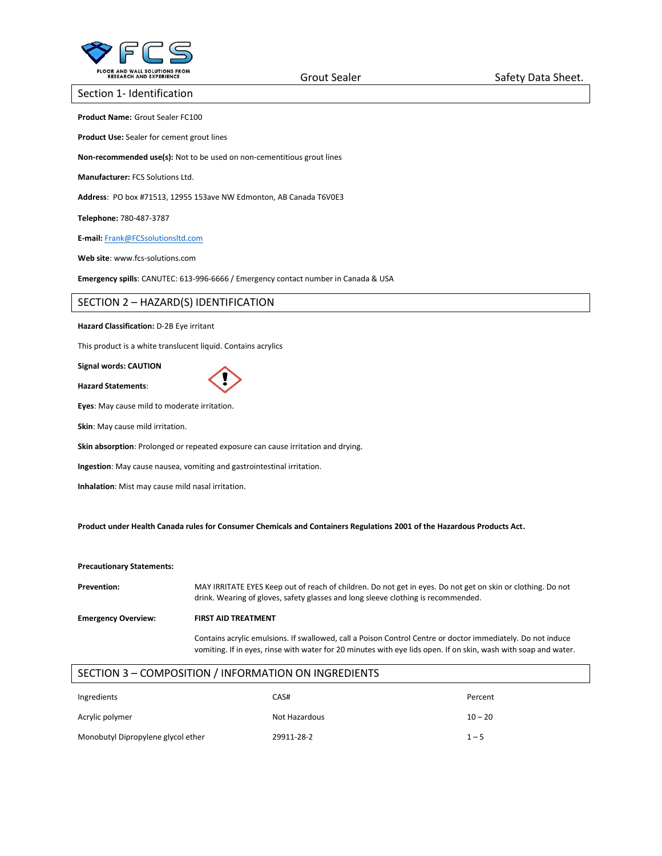

### Section 1- Identification

**Product Name:** Grout Sealer FC100

**Product Use:** Sealer for cement grout lines

**Non-recommended use(s):** Not to be used on non-cementitious grout lines

**Manufacturer:** FCS Solutions Ltd.

**Address**: PO box #71513, 12955 153ave NW Edmonton, AB Canada T6V0E3

**Telephone:** 780-487-3787

**E-mail:** [Frank@FCSsolutionsltd.com](mailto:Frank@FCSsolutionsltd.com)

**Web site**: www.fcs-solutions.com

**Emergency spills**: CANUTEC: 613-996-6666 / Emergency contact number in Canada & USA

# SECTION 2 – HAZARD(S) IDENTIFICATION

## **Hazard Classification:** D-2B Eye irritant

This product is a white translucent liquid. Contains acrylics

#### **Signal words: CAUTION**

**Hazard Statements**:

**Eyes**: May cause mild to moderate irritation.

**Skin**: May cause mild irritation.

**Skin absorption**: Prolonged or repeated exposure can cause irritation and drying.

**Ingestion**: May cause nausea, vomiting and gastrointestinal irritation.

**Inhalation**: Mist may cause mild nasal irritation.

**Product under Health Canada rules for Consumer Chemicals and Containers Regulations 2001 of the Hazardous Products Act.**

#### **Precautionary Statements:**

**Prevention:** MAY IRRITATE EYES Keep out of reach of children. Do not get in eyes. Do not get on skin or clothing. Do not drink. Wearing of gloves, safety glasses and long sleeve clothing is recommended.

**Emergency Overview: FIRST AID TREATMENT** 

Contains acrylic emulsions. If swallowed, call a Poison Control Centre or doctor immediately. Do not induce vomiting. If in eyes, rinse with water for 20 minutes with eye lids open. If on skin, wash with soap and water.

# SECTION 3 – COMPOSITION / INFORMATION ON INGREDIENTS

| Ingredients                        | CAS#          | Percent   |
|------------------------------------|---------------|-----------|
| Acrylic polymer                    | Not Hazardous | $10 - 20$ |
| Monobutyl Dipropylene glycol ether | 29911-28-2    | $1 - 5$   |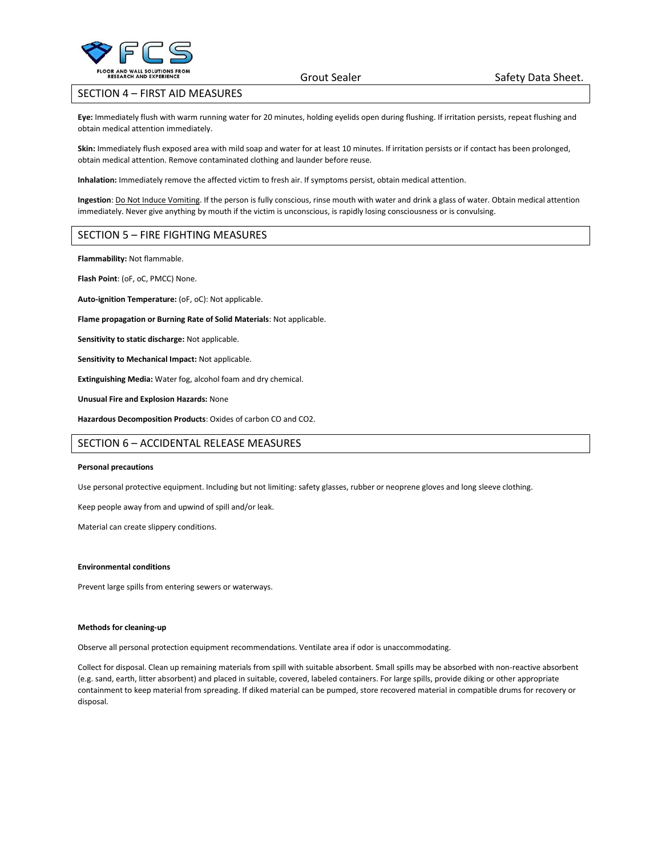

# SECTION 4 – FIRST AID MEASURES

**Eye:** Immediately flush with warm running water for 20 minutes, holding eyelids open during flushing. If irritation persists, repeat flushing and obtain medical attention immediately.

**Skin:** Immediately flush exposed area with mild soap and water for at least 10 minutes. If irritation persists or if contact has been prolonged, obtain medical attention. Remove contaminated clothing and launder before reuse.

**Inhalation:** Immediately remove the affected victim to fresh air. If symptoms persist, obtain medical attention.

**Ingestion**: Do Not Induce Vomiting. If the person is fully conscious, rinse mouth with water and drink a glass of water. Obtain medical attention immediately. Never give anything by mouth if the victim is unconscious, is rapidly losing consciousness or is convulsing.

# SECTION 5 – FIRE FIGHTING MEASURES

**Flammability:** Not flammable.

**Flash Point**: (oF, oC, PMCC) None.

**Auto-ignition Temperature:** (oF, oC): Not applicable.

**Flame propagation or Burning Rate of Solid Materials**: Not applicable.

**Sensitivity to static discharge:** Not applicable.

**Sensitivity to Mechanical Impact:** Not applicable.

**Extinguishing Media:** Water fog, alcohol foam and dry chemical.

**Unusual Fire and Explosion Hazards:** None

**Hazardous Decomposition Products**: Oxides of carbon CO and CO2.

# SECTION 6 – ACCIDENTAL RELEASE MEASURES

#### **Personal precautions**

Use personal protective equipment. Including but not limiting: safety glasses, rubber or neoprene gloves and long sleeve clothing.

Keep people away from and upwind of spill and/or leak.

Material can create slippery conditions.

#### **Environmental conditions**

Prevent large spills from entering sewers or waterways.

#### **Methods for cleaning-up**

Observe all personal protection equipment recommendations. Ventilate area if odor is unaccommodating.

Collect for disposal. Clean up remaining materials from spill with suitable absorbent. Small spills may be absorbed with non-reactive absorbent (e.g. sand, earth, litter absorbent) and placed in suitable, covered, labeled containers. For large spills, provide diking or other appropriate containment to keep material from spreading. If diked material can be pumped, store recovered material in compatible drums for recovery or disposal.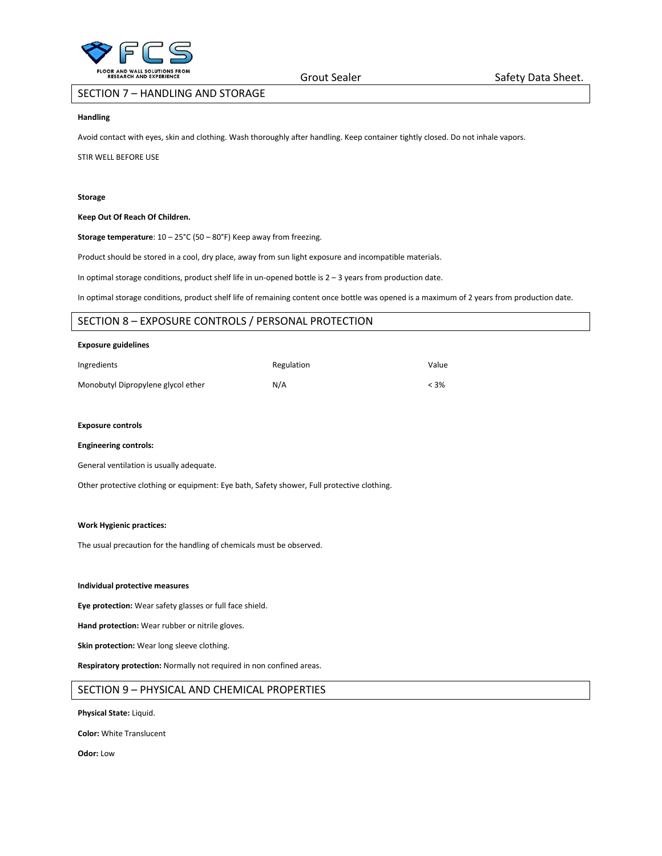

# SECTION 7 – HANDLING AND STORAGE

### **Handling**

Avoid contact with eyes, skin and clothing. Wash thoroughly after handling. Keep container tightly closed. Do not inhale vapors.

#### STIR WELL BEFORE USE

#### **Storage**

#### **Keep Out Of Reach Of Children.**

**Storage temperature**: 10 – 25°C (50 – 80°F) Keep away from freezing.

Product should be stored in a cool, dry place, away from sun light exposure and incompatible materials.

In optimal storage conditions, product shelf life in un-opened bottle is 2 – 3 years from production date.

In optimal storage conditions, product shelf life of remaining content once bottle was opened is a maximum of 2 years from production date.

# SECTION 8 – EXPOSURE CONTROLS / PERSONAL PROTECTION

#### **Exposure guidelines**

| Ingredients                        | Regulation | Value   |
|------------------------------------|------------|---------|
| Monobutyl Dipropylene glycol ether | N/A        | $< 3\%$ |

### **Exposure controls**

#### **Engineering controls:**

General ventilation is usually adequate.

Other protective clothing or equipment: Eye bath, Safety shower, Full protective clothing.

#### **Work Hygienic practices:**

The usual precaution for the handling of chemicals must be observed.

#### **Individual protective measures**

**Eye protection:** Wear safety glasses or full face shield.

**Hand protection:** Wear rubber or nitrile gloves.

**Skin protection:** Wear long sleeve clothing.

**Respiratory protection:** Normally not required in non confined areas.

# SECTION 9 – PHYSICAL AND CHEMICAL PROPERTIES

**Physical State:** Liquid.

**Color:** White Translucent

**Odor:** Low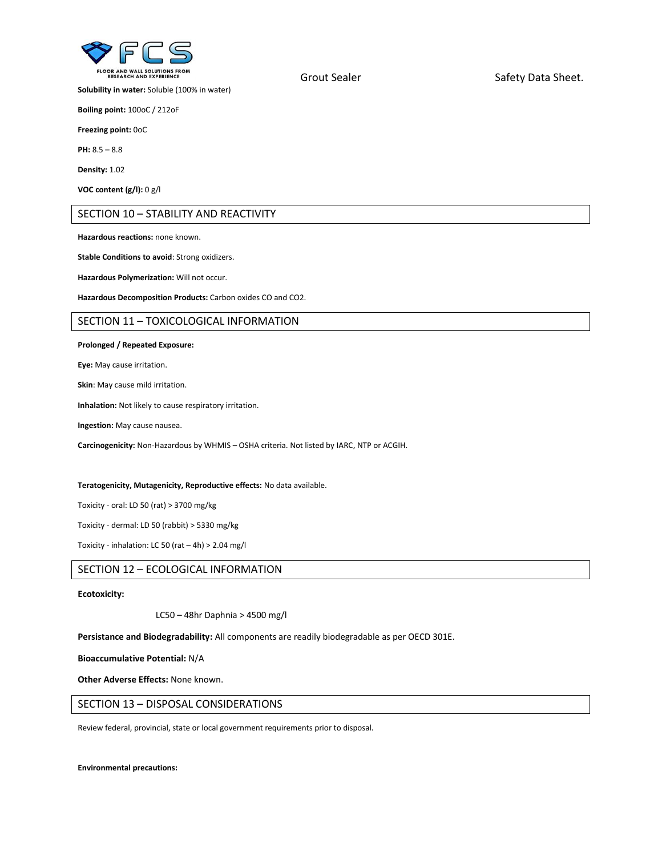

**Solubility in water:** Soluble (100% in water)

**Boiling point:** 100oC / 212oF

**Freezing point:** 0oC

**PH:** 8.5 – 8.8

**Density:** 1.02

**VOC content (g/l):** 0 g/l

# SECTION 10 – STABILITY AND REACTIVITY

**Hazardous reactions:** none known.

**Stable Conditions to avoid**: Strong oxidizers.

**Hazardous Polymerization:** Will not occur.

**Hazardous Decomposition Products:** Carbon oxides CO and CO2.

## SECTION 11 – TOXICOLOGICAL INFORMATION

#### **Prolonged / Repeated Exposure:**

**Eye:** May cause irritation.

**Skin**: May cause mild irritation.

**Inhalation:** Not likely to cause respiratory irritation.

**Ingestion:** May cause nausea.

**Carcinogenicity:** Non-Hazardous by WHMIS – OSHA criteria. Not listed by IARC, NTP or ACGIH.

#### **Teratogenicity, Mutagenicity, Reproductive effects:** No data available.

Toxicity - oral: LD 50 (rat) > 3700 mg/kg

Toxicity - dermal: LD 50 (rabbit) > 5330 mg/kg

Toxicity - inhalation: LC 50 (rat – 4h) > 2.04 mg/l

# SECTION 12 – ECOLOGICAL INFORMATION

## **Ecotoxicity:**

LC50 – 48hr Daphnia > 4500 mg/l

**Persistance and Biodegradability:** All components are readily biodegradable as per OECD 301E.

**Bioaccumulative Potential:** N/A

**Other Adverse Effects:** None known.

## SECTION 13 – DISPOSAL CONSIDERATIONS

Review federal, provincial, state or local government requirements prior to disposal.

**Environmental precautions:** 

Grout Sealer Safety Data Sheet.